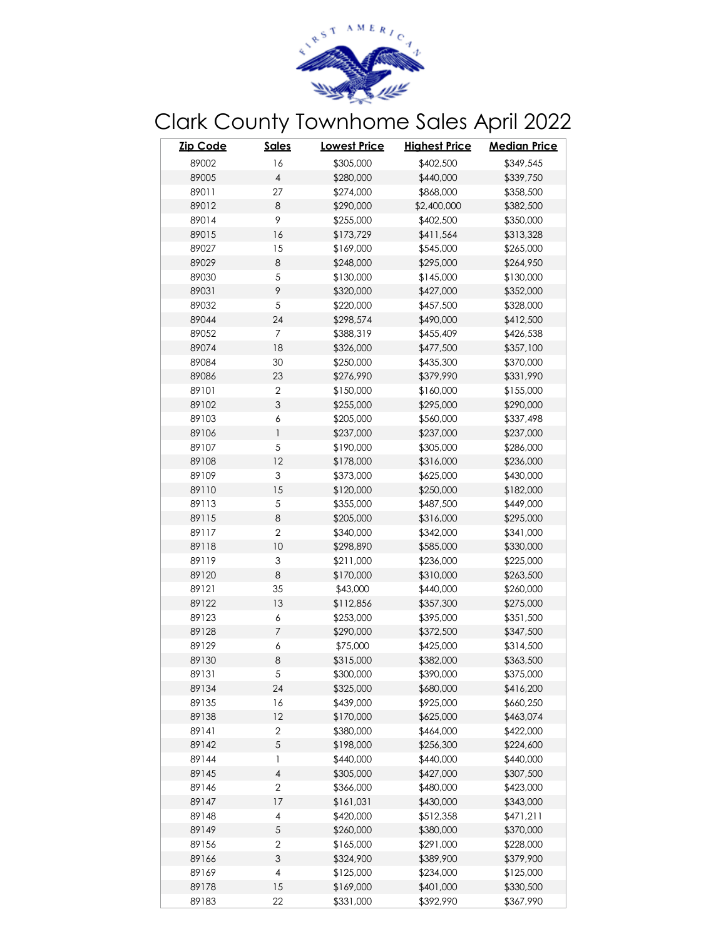

## Clark County Townhome Sales April 2022

| <b>Zip Code</b> | <b>Sales</b>   | <u> Lowest Price</u> | <b>Highest Price</b> | <b>Median Price</b> |
|-----------------|----------------|----------------------|----------------------|---------------------|
| 89002           | 16             | \$305,000            | \$402,500            | \$349,545           |
| 89005           | $\overline{4}$ | \$280,000            | \$440,000            | \$339,750           |
| 89011           | 27             | \$274,000            | \$868,000            | \$358,500           |
| 89012           | $\,8\,$        | \$290,000            | \$2,400,000          | \$382,500           |
| 89014           | 9              | \$255,000            | \$402,500            | \$350,000           |
| 89015           | 16             | \$173,729            | \$411,564            | \$313,328           |
| 89027           | 15             | \$169,000            | \$545,000            | \$265,000           |
| 89029           | $\,8\,$        | \$248,000            | \$295,000            | \$264,950           |
| 89030           | $\sqrt{5}$     | \$130,000            | \$145,000            | \$130,000           |
| 89031           | 9              | \$320,000            | \$427,000            | \$352,000           |
| 89032           | $\sqrt{5}$     | \$220,000            | \$457,500            | \$328,000           |
| 89044           | 24             | \$298,574            | \$490,000            | \$412,500           |
| 89052           | $\overline{7}$ | \$388,319            | \$455,409            | \$426,538           |
| 89074           | 18             | \$326,000            | \$477,500            | \$357,100           |
| 89084           | 30             | \$250,000            | \$435,300            | \$370,000           |
| 89086           | 23             | \$276,990            | \$379,990            | \$331,990           |
| 89101           | $\overline{2}$ | \$150,000            | \$160,000            | \$155,000           |
| 89102           | 3              | \$255,000            | \$295,000            | \$290,000           |
| 89103           | 6              | \$205,000            | \$560,000            | \$337,498           |
| 89106           | 1              | \$237,000            | \$237,000            | \$237,000           |
| 89107           | 5              | \$190,000            | \$305,000            | \$286,000           |
| 89108           | 12             | \$178,000            | \$316,000            | \$236,000           |
| 89109           | 3              | \$373,000            | \$625,000            | \$430,000           |
| 89110           | 15             | \$120,000            | \$250,000            | \$182,000           |
| 89113           | $\sqrt{5}$     | \$355,000            | \$487,500            | \$449,000           |
| 89115           | $\,8\,$        | \$205,000            | \$316,000            | \$295,000           |
| 89117           | $\overline{2}$ | \$340,000            | \$342,000            | \$341,000           |
| 89118           | 10             | \$298,890            | \$585,000            | \$330,000           |
| 89119           | 3              | \$211,000            | \$236,000            | \$225,000           |
| 89120           | 8              | \$170,000            | \$310,000            | \$263,500           |
| 89121           | 35             | \$43,000             | \$440,000            | \$260,000           |
| 89122           | 13             | \$112,856            | \$357,300            | \$275,000           |
| 89123           | 6              | \$253,000            | \$395,000            | \$351,500           |
| 89128           | 7              | \$290,000            | \$372,500            | \$347,500           |
| 89129           | 6              | \$75,000             | \$425,000            | \$314,500           |
| 89130           | $\,8\,$        | \$315,000            | \$382,000            | \$363,500           |
| 89131           | 5              | \$300,000            | \$390,000            | \$375,000           |
| 89134           | 24             | \$325,000            | \$680,000            | \$416,200           |
| 89135           | 16             | \$439,000            | \$925,000            | \$660,250           |
| 89138           | 12             | \$170,000            | \$625,000            | \$463,074           |
| 89141           | $\overline{2}$ | \$380,000            | \$464,000            | \$422,000           |
| 89142           | 5              | \$198,000            | \$256,300            | \$224,600           |
| 89144           | $\mathbf{1}$   | \$440,000            | \$440,000            | \$440,000           |
| 89145           | 4              | \$305,000            | \$427,000            | \$307,500           |
| 89146           | $\overline{2}$ | \$366,000            | \$480,000            | \$423,000           |
| 89147           | 17             | \$161,031            | \$430,000            | \$343,000           |
| 89148           | 4              | \$420,000            | \$512,358            | \$471,211           |
| 89149           | $\sqrt{5}$     | \$260,000            | \$380,000            | \$370,000           |
| 89156           | $\sqrt{2}$     | \$165,000            | \$291,000            | \$228,000           |
| 89166           | 3              | \$324,900            | \$389,900            | \$379,900           |
| 89169           | 4              | \$125,000            | \$234,000            | \$125,000           |
| 89178           | 15             | \$169,000            | \$401,000            | \$330,500           |
| 89183           | 22             | \$331,000            | \$392,990            | \$367,990           |